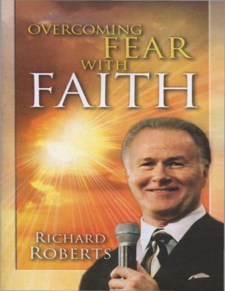# OVERCOMING TH  $\mathcal{N}\,$   $\blacksquare$  $\Gamma$

# RICHARD ROBERTS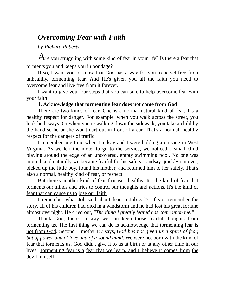## *Overcoming Fear with Faith*

*by Richard Roberts*

 $A$ re you struggling with some kind of fear in your life? Is there a fear that torments you and keeps you in bondage?

If so, I want you to know that God has a way for you to be set free from unhealthy, tormenting fear. And He's given you all the faith you need to overcome fear and live free from it forever.

I want to give you four steps that you can take to help overcome fear with your faith:

#### **1. Acknowledge that tormenting fear does not come from God**

There are two kinds of fear. One is a normal-natural kind of fear. It's a healthy respect for danger. For example, when you walk across the street, you look both ways. Or when you're walking down the sidewalk, you take a child by the hand so he or she won't dart out in front of a car. That's a normal, healthy respect for the dangers of traffic.

I remember one time when Lindsay and I were holding a crusade in West Virginia. As we left the motel to go to the service, we noticed a small child playing around the edge of an uncovered, empty swimming pool. No one was around, and naturally we became fearful for his safety. Lindsay quickly ran over, picked up the little boy, found his mother, and returned him to her safely. That's also a normal, healthy kind of fear, or respect.

But there's another kind of fear that isn't healthy. It's the kind of fear that torments our minds and tries to control our thoughts and actions. It's the kind of fear that can cause us to lose our faith.

I remember what Job said about fear in Job 3:25. If you remember the story, all of his children had died in a windstorm and he had lost his great fortune almost overnight. He cried out, *"The thing I greatly feared has come upon me."*

Thank God, there's a way we can keep those fearful thoughts from tormenting us. The first thing we can do is acknowledge that tormenting fear is not from God. Second Timothy 1:7 says, *God has not given us a spirit of fear, but of power and of love and of a sound mind.* We were not born with the kind of fear that torments us. God didn't give it to us at birth or at any other time in our lives. Tormenting fear is a fear that we learn, and I believe it comes from the devil himself.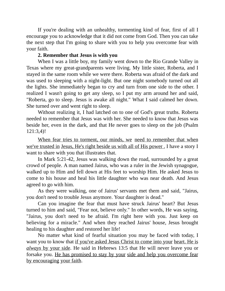If you're dealing with an unhealthy, tormenting kind of fear, first of all I encourage you to acknowledge that it did not come from God. Then you can take the next step that I'm going to share with you to help you overcome fear with your faith.

#### **2. Remember that Jesus is with you**

When I was a little boy, my family went down to the Rio Grande Valley in Texas where my great-grandparents were living. My little sister, Roberta, and I stayed in the same room while we were there. Roberta was afraid of the dark and was used to sleeping with a night-light. But one night somebody turned out all the lights. She immediately began to cry and turn from one side to the other. I realized I wasn't going to get any sleep, so I put my arm around her and said, "Roberta, go to sleep. Jesus is awake all night." What I said calmed her down. She turned over and went right to sleep.

Without realizing it, I had latched on to one of God's great truths. Roberta needed to remember that Jesus was with her. She needed to know that Jesus was beside her, even in the dark, and that He never goes to sleep on the job (Psalm 121:3,4)!

When fear tries to torment, our minds, we need to remember that when we've trusted in Jesus, He's right beside us with all of His power . I have a story I want to share with you that illustrates that.

In Mark 5:21-42, Jesus was walking down the road, surrounded by a great crowd of people. A man named Jairus, who was a ruler in the Jewish synagogue, walked up to Him and fell down at His feet to worship Him. He asked Jesus to come to his house and heal his little daughter who was near death. And Jesus agreed to go with him.

As they were walking, one of Jairus' servants met them and said, "Jairus, you don't need to trouble Jesus anymore. Your daughter is dead."

Can you imagine the fear that must have struck Jairus' heart? But Jesus turned to him and said, "Fear not, believe only." In other words, He was saying, "Jairus, you don't need to be afraid. I'm right here with you. Just keep on believing for a miracle." And when they reached Jairus' house, Jesus brought healing to his daughter and restored her life!

No matter what kind of fearful situation you may be faced with today, I want you to know that if you've asked Jesus Christ to come into your heart. He is *always* by your side. He said in Hebrews 13:5 that He will never leave you or forsake you. He has promised to stay by your side and help you overcome fear by encouraging your faith.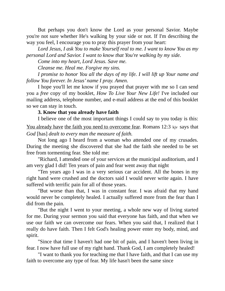But perhaps you don't know the Lord as your personal Savior. Maybe you're not sure whether He's walking by your side or not. If I'm describing the way you feel, I encourage you to pray this prayer from your heart:

*Lord Jesus, I ask You to make Yourself real to me. I want to know You as my personal Lord and Savior. I want to know that You're walking by my side.*

*Come into my heart, Lord Jesus. Save me.*

*Cleanse me. Heal me. Forgive my sins.*

*I promise to honor You all the days of my life. I will lift up Your name and follow You forever. In Jesus' name I pray. Amen.*

I hope you'll let me know if you prayed that prayer with me so I can send you a *free* copy of my booklet, *How To Live Your New Life!* I've included our mailing address, telephone number, and e-mail address at the end of this booklet so we can stay in touch.

#### **3. Know that you already have faith**

I believe one of the most important things I could say to you today is this: You already have the faith you need to overcome fear. Romans 12:3 kjy says that *God* [has] *dealt to every man the measure of faith.*

Not long ago I heard from a woman who attended one of my crusades. During the meeting she discovered that she had the faith she needed to be set free from tormenting fear. She told me:

"Richard, I attended one of your services at the municipal auditorium, and I am very glad I did! Ten years of pain and fear went away that night

"Ten years ago I was in a very serious car accident. All the bones in my right hand were crushed and the doctors said I would never write again. I have suffered with terrific pain for all of those years.

"But worse than that, I was in constant fear. I was afraid that my hand would never be completely healed. I actually suffered more from the fear than I did from the pain.

"But the night I went to your meeting, a whole new way of living started for me. During your sermon you said that everyone has faith, and that when we use our faith we can overcome our fears. When you said that, I realized that I really do have faith. Then I felt God's healing power enter my body, mind, and spirit.

"Since that time I haven't had one bit of pain, and I haven't been living in fear. I now have full use of my right hand. Thank God, I am completely healed!

"I want to thank you for teaching me that I have faith, and that I can use my faith to overcome any type of fear. My life hasn't been the same since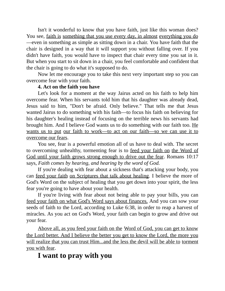Isn't it wonderful to know that you have faith, just like this woman does? You see, faith is something that you use every day, in almost everything you do —even in something as simple as sitting down in a chair. You have faith that the chair is designed in a way that it will support you without falling over. If you didn't have faith, you would have to inspect that chair every time you sat in it. But when you start to sit down in a chair, you feel comfortable and confident that the chair is going to do what it's supposed to do.

Now let me encourage you to take this next very important step so you can overcome fear with your faith.

#### **4. Act on the faith you have**

Let's look for a moment at the way Jairus acted on his faith to help him overcome fear. When his servants told him that his daughter was already dead, Jesus said to him, "Don't be afraid. Only believe." That tells me that Jesus wanted Jairus to do something with his faith—to focus his faith on believing for his daughter's healing instead of focusing on the terrible news his servants had brought him. And I believe God wants us to do something with our faith too. He wants us to put our faith to work—to act on our faith—so we can use it to overcome our fears.

You see, fear is a powerful emotion all of us have to deal with. The secret to overcoming unhealthy, tormenting fear is to feed your faith on the Word of God until your faith grows strong enough to drive out the fear. Romans 10:17 says, *Faith comes by hearing, and hearing by the word of God.*

If you're dealing with fear about a sickness that's attacking your body, you can feed your faith on Scriptures that talk about healing. I believe the more of God's Word on the subject of healing that you get down into your spirit, the less fear you're going to have about your health.

If you're living with fear about not being able to pay your bills, you can feed your faith on what God's Word says about finances. And you can sow your seeds of faith to the Lord, according to Luke 6:38, in order to reap a harvest of miracles. As you act on God's Word, your faith can begin to grow and drive out your fear.

Above all, as you feed your faith on the Word of God, you can get to know the Lord better. And I believe the better you get to know the Lord, the more you will realize that you can trust Him...and the less the devil will be able to torment you with fear.

### **I want to pray with you**